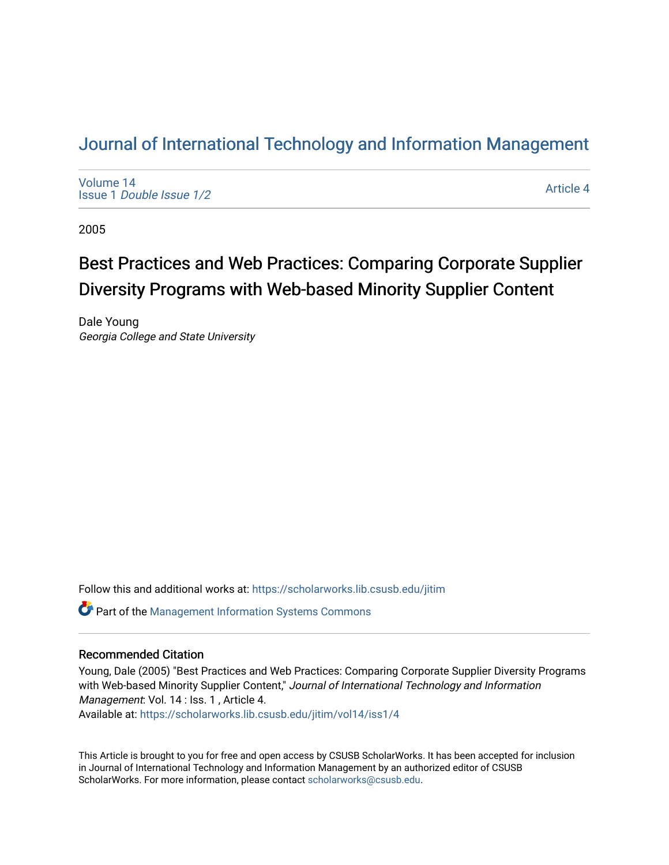# [Journal of International Technology and Information Management](https://scholarworks.lib.csusb.edu/jitim)

[Volume 14](https://scholarworks.lib.csusb.edu/jitim/vol14) Issue 1 [Double Issue 1/2](https://scholarworks.lib.csusb.edu/jitim/vol14/iss1) 

[Article 4](https://scholarworks.lib.csusb.edu/jitim/vol14/iss1/4) 

2005

# Best Practices and Web Practices: Comparing Corporate Supplier Diversity Programs with Web-based Minority Supplier Content

Dale Young Georgia College and State University

Follow this and additional works at: [https://scholarworks.lib.csusb.edu/jitim](https://scholarworks.lib.csusb.edu/jitim?utm_source=scholarworks.lib.csusb.edu%2Fjitim%2Fvol14%2Fiss1%2F4&utm_medium=PDF&utm_campaign=PDFCoverPages) 

Part of the [Management Information Systems Commons](http://network.bepress.com/hgg/discipline/636?utm_source=scholarworks.lib.csusb.edu%2Fjitim%2Fvol14%2Fiss1%2F4&utm_medium=PDF&utm_campaign=PDFCoverPages) 

# Recommended Citation

Young, Dale (2005) "Best Practices and Web Practices: Comparing Corporate Supplier Diversity Programs with Web-based Minority Supplier Content," Journal of International Technology and Information Management: Vol. 14 : Iss. 1, Article 4.

Available at: [https://scholarworks.lib.csusb.edu/jitim/vol14/iss1/4](https://scholarworks.lib.csusb.edu/jitim/vol14/iss1/4?utm_source=scholarworks.lib.csusb.edu%2Fjitim%2Fvol14%2Fiss1%2F4&utm_medium=PDF&utm_campaign=PDFCoverPages) 

This Article is brought to you for free and open access by CSUSB ScholarWorks. It has been accepted for inclusion in Journal of International Technology and Information Management by an authorized editor of CSUSB ScholarWorks. For more information, please contact [scholarworks@csusb.edu.](mailto:scholarworks@csusb.edu)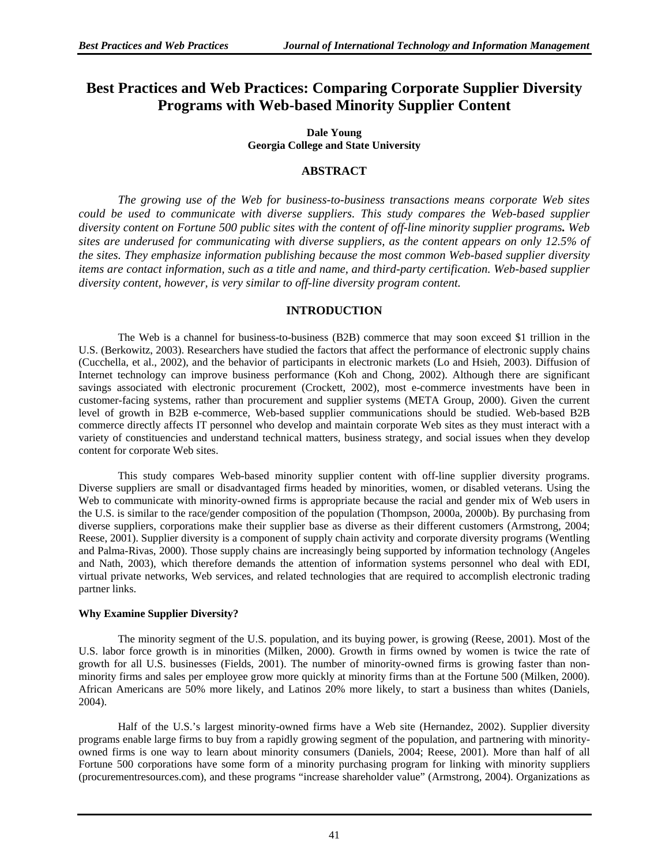# **Best Practices and Web Practices: Comparing Corporate Supplier Diversity Programs with Web-based Minority Supplier Content**

#### **Dale Young Georgia College and State University**

# **ABSTRACT**

*The growing use of the Web for business-to-business transactions means corporate Web sites could be used to communicate with diverse suppliers. This study compares the Web-based supplier diversity content on Fortune 500 public sites with the content of off-line minority supplier programs. Web sites are underused for communicating with diverse suppliers, as the content appears on only 12.5% of the sites. They emphasize information publishing because the most common Web-based supplier diversity items are contact information, such as a title and name, and third-party certification. Web-based supplier diversity content, however, is very similar to off-line diversity program content.* 

# **INTRODUCTION**

The Web is a channel for business-to-business (B2B) commerce that may soon exceed \$1 trillion in the U.S. (Berkowitz, 2003). Researchers have studied the factors that affect the performance of electronic supply chains (Cucchella, et al., 2002), and the behavior of participants in electronic markets (Lo and Hsieh, 2003). Diffusion of Internet technology can improve business performance (Koh and Chong, 2002). Although there are significant savings associated with electronic procurement (Crockett, 2002), most e-commerce investments have been in customer-facing systems, rather than procurement and supplier systems (META Group, 2000). Given the current level of growth in B2B e-commerce, Web-based supplier communications should be studied. Web-based B2B commerce directly affects IT personnel who develop and maintain corporate Web sites as they must interact with a variety of constituencies and understand technical matters, business strategy, and social issues when they develop content for corporate Web sites.

 This study compares Web-based minority supplier content with off-line supplier diversity programs. Diverse suppliers are small or disadvantaged firms headed by minorities, women, or disabled veterans. Using the Web to communicate with minority-owned firms is appropriate because the racial and gender mix of Web users in the U.S. is similar to the race/gender composition of the population (Thompson, 2000a, 2000b). By purchasing from diverse suppliers, corporations make their supplier base as diverse as their different customers (Armstrong, 2004; Reese, 2001). Supplier diversity is a component of supply chain activity and corporate diversity programs (Wentling and Palma-Rivas, 2000). Those supply chains are increasingly being supported by information technology (Angeles and Nath, 2003), which therefore demands the attention of information systems personnel who deal with EDI, virtual private networks, Web services, and related technologies that are required to accomplish electronic trading partner links.

#### **Why Examine Supplier Diversity?**

The minority segment of the U.S. population, and its buying power, is growing (Reese, 2001). Most of the U.S. labor force growth is in minorities (Milken, 2000). Growth in firms owned by women is twice the rate of growth for all U.S. businesses (Fields, 2001). The number of minority-owned firms is growing faster than nonminority firms and sales per employee grow more quickly at minority firms than at the Fortune 500 (Milken, 2000). African Americans are 50% more likely, and Latinos 20% more likely, to start a business than whites (Daniels, 2004).

Half of the U.S.'s largest minority-owned firms have a Web site (Hernandez, 2002). Supplier diversity programs enable large firms to buy from a rapidly growing segment of the population, and partnering with minorityowned firms is one way to learn about minority consumers (Daniels, 2004; Reese, 2001). More than half of all Fortune 500 corporations have some form of a minority purchasing program for linking with minority suppliers (procurementresources.com), and these programs "increase shareholder value" (Armstrong, 2004). Organizations as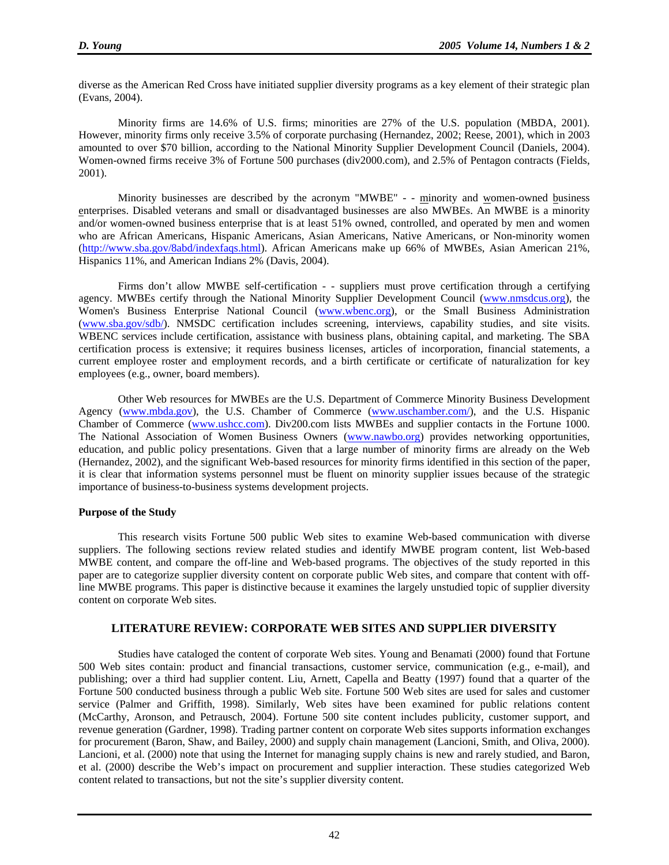diverse as the American Red Cross have initiated supplier diversity programs as a key element of their strategic plan (Evans, 2004).

Minority firms are 14.6% of U.S. firms; minorities are 27% of the U.S. population (MBDA, 2001). However, minority firms only receive 3.5% of corporate purchasing (Hernandez, 2002; Reese, 2001), which in 2003 amounted to over \$70 billion, according to the National Minority Supplier Development Council (Daniels, 2004). Women-owned firms receive 3% of Fortune 500 purchases (div2000.com), and 2.5% of Pentagon contracts (Fields, 2001).

Minority businesses are described by the acronym "MWBE" - - minority and women-owned business enterprises. Disabled veterans and small or disadvantaged businesses are also MWBEs. An MWBE is a minority and/or women-owned business enterprise that is at least 51% owned, controlled, and operated by men and women who are African Americans, Hispanic Americans, Asian Americans, Native Americans, or Non-minority women (http://www.sba.gov/8abd/indexfaqs.html). African Americans make up 66% of MWBEs, Asian American 21%, Hispanics 11%, and American Indians 2% (Davis, 2004).

Firms don't allow MWBE self-certification - - suppliers must prove certification through a certifying agency. MWBEs certify through the National Minority Supplier Development Council (www.nmsdcus.org), the Women's Business Enterprise National Council (www.wbenc.org), or the Small Business Administration (www.sba.gov/sdb/). NMSDC certification includes screening, interviews, capability studies, and site visits. WBENC services include certification, assistance with business plans, obtaining capital, and marketing. The SBA certification process is extensive; it requires business licenses, articles of incorporation, financial statements, a current employee roster and employment records, and a birth certificate or certificate of naturalization for key employees (e.g., owner, board members).

Other Web resources for MWBEs are the U.S. Department of Commerce Minority Business Development Agency (www.mbda.gov), the U.S. Chamber of Commerce (www.uschamber.com/), and the U.S. Hispanic Chamber of Commerce (www.ushcc.com). Div200.com lists MWBEs and supplier contacts in the Fortune 1000. The National Association of Women Business Owners (www.nawbo.org) provides networking opportunities, education, and public policy presentations. Given that a large number of minority firms are already on the Web (Hernandez, 2002), and the significant Web-based resources for minority firms identified in this section of the paper, it is clear that information systems personnel must be fluent on minority supplier issues because of the strategic importance of business-to-business systems development projects.

#### **Purpose of the Study**

This research visits Fortune 500 public Web sites to examine Web-based communication with diverse suppliers. The following sections review related studies and identify MWBE program content, list Web-based MWBE content, and compare the off-line and Web-based programs. The objectives of the study reported in this paper are to categorize supplier diversity content on corporate public Web sites, and compare that content with offline MWBE programs. This paper is distinctive because it examines the largely unstudied topic of supplier diversity content on corporate Web sites.

# **LITERATURE REVIEW: CORPORATE WEB SITES AND SUPPLIER DIVERSITY**

Studies have cataloged the content of corporate Web sites. Young and Benamati (2000) found that Fortune 500 Web sites contain: product and financial transactions, customer service, communication (e.g., e-mail), and publishing; over a third had supplier content. Liu, Arnett, Capella and Beatty (1997) found that a quarter of the Fortune 500 conducted business through a public Web site. Fortune 500 Web sites are used for sales and customer service (Palmer and Griffith, 1998). Similarly, Web sites have been examined for public relations content (McCarthy, Aronson, and Petrausch, 2004). Fortune 500 site content includes publicity, customer support, and revenue generation (Gardner, 1998). Trading partner content on corporate Web sites supports information exchanges for procurement (Baron, Shaw, and Bailey, 2000) and supply chain management (Lancioni, Smith, and Oliva, 2000). Lancioni, et al. (2000) note that using the Internet for managing supply chains is new and rarely studied, and Baron, et al. (2000) describe the Web's impact on procurement and supplier interaction. These studies categorized Web content related to transactions, but not the site's supplier diversity content.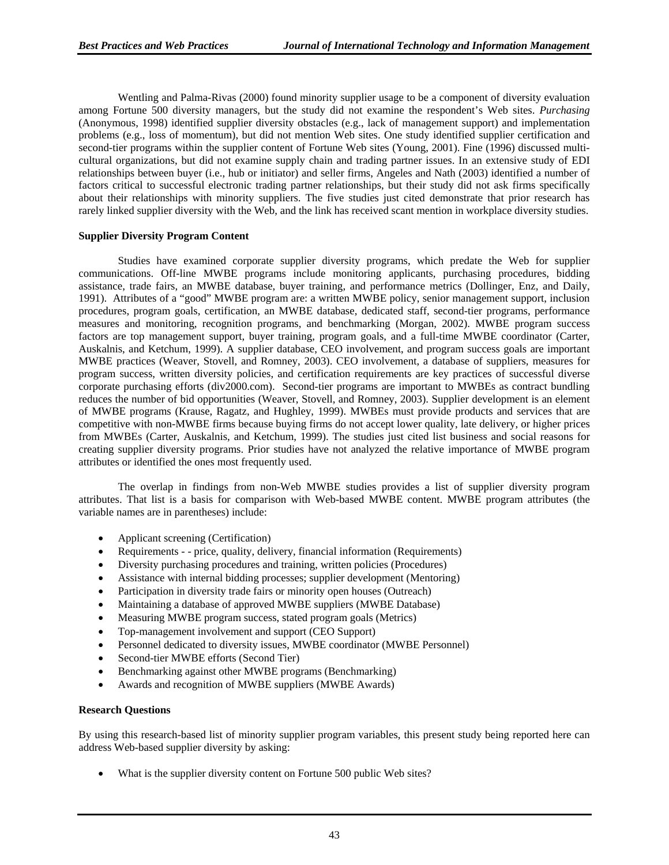Wentling and Palma-Rivas (2000) found minority supplier usage to be a component of diversity evaluation among Fortune 500 diversity managers, but the study did not examine the respondent's Web sites. *Purchasing* (Anonymous, 1998) identified supplier diversity obstacles (e.g., lack of management support) and implementation problems (e.g., loss of momentum), but did not mention Web sites. One study identified supplier certification and second-tier programs within the supplier content of Fortune Web sites (Young, 2001). Fine (1996) discussed multicultural organizations, but did not examine supply chain and trading partner issues. In an extensive study of EDI relationships between buyer (i.e., hub or initiator) and seller firms, Angeles and Nath (2003) identified a number of factors critical to successful electronic trading partner relationships, but their study did not ask firms specifically about their relationships with minority suppliers. The five studies just cited demonstrate that prior research has rarely linked supplier diversity with the Web, and the link has received scant mention in workplace diversity studies.

#### **Supplier Diversity Program Content**

Studies have examined corporate supplier diversity programs, which predate the Web for supplier communications. Off-line MWBE programs include monitoring applicants, purchasing procedures, bidding assistance, trade fairs, an MWBE database, buyer training, and performance metrics (Dollinger, Enz, and Daily, 1991). Attributes of a "good" MWBE program are: a written MWBE policy, senior management support, inclusion procedures, program goals, certification, an MWBE database, dedicated staff, second-tier programs, performance measures and monitoring, recognition programs, and benchmarking (Morgan, 2002). MWBE program success factors are top management support, buyer training, program goals, and a full-time MWBE coordinator (Carter, Auskalnis, and Ketchum, 1999). A supplier database, CEO involvement, and program success goals are important MWBE practices (Weaver, Stovell, and Romney, 2003). CEO involvement, a database of suppliers, measures for program success, written diversity policies, and certification requirements are key practices of successful diverse corporate purchasing efforts (div2000.com). Second-tier programs are important to MWBEs as contract bundling reduces the number of bid opportunities (Weaver, Stovell, and Romney, 2003). Supplier development is an element of MWBE programs (Krause, Ragatz, and Hughley, 1999). MWBEs must provide products and services that are competitive with non-MWBE firms because buying firms do not accept lower quality, late delivery, or higher prices from MWBEs (Carter, Auskalnis, and Ketchum, 1999). The studies just cited list business and social reasons for creating supplier diversity programs. Prior studies have not analyzed the relative importance of MWBE program attributes or identified the ones most frequently used.

 The overlap in findings from non-Web MWBE studies provides a list of supplier diversity program attributes. That list is a basis for comparison with Web-based MWBE content. MWBE program attributes (the variable names are in parentheses) include:

- Applicant screening (Certification)
- Requirements - price, quality, delivery, financial information (Requirements)
- Diversity purchasing procedures and training, written policies (Procedures)
- Assistance with internal bidding processes; supplier development (Mentoring)
- Participation in diversity trade fairs or minority open houses (Outreach)
- Maintaining a database of approved MWBE suppliers (MWBE Database)
- Measuring MWBE program success, stated program goals (Metrics)
- Top-management involvement and support (CEO Support)
- Personnel dedicated to diversity issues, MWBE coordinator (MWBE Personnel)
- Second-tier MWBE efforts (Second Tier)
- Benchmarking against other MWBE programs (Benchmarking)
- Awards and recognition of MWBE suppliers (MWBE Awards)

#### **Research Questions**

By using this research-based list of minority supplier program variables, this present study being reported here can address Web-based supplier diversity by asking:

• What is the supplier diversity content on Fortune 500 public Web sites?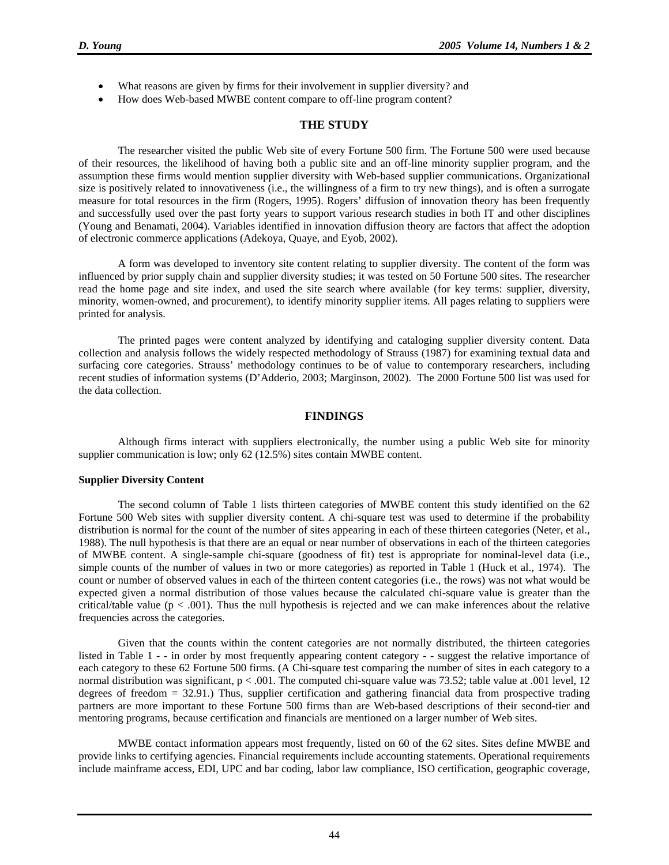- What reasons are given by firms for their involvement in supplier diversity? and
- How does Web-based MWBE content compare to off-line program content?

## **THE STUDY**

The researcher visited the public Web site of every Fortune 500 firm. The Fortune 500 were used because of their resources, the likelihood of having both a public site and an off-line minority supplier program, and the assumption these firms would mention supplier diversity with Web-based supplier communications. Organizational size is positively related to innovativeness (i.e., the willingness of a firm to try new things), and is often a surrogate measure for total resources in the firm (Rogers, 1995). Rogers' diffusion of innovation theory has been frequently and successfully used over the past forty years to support various research studies in both IT and other disciplines (Young and Benamati, 2004). Variables identified in innovation diffusion theory are factors that affect the adoption of electronic commerce applications (Adekoya, Quaye, and Eyob, 2002).

A form was developed to inventory site content relating to supplier diversity. The content of the form was influenced by prior supply chain and supplier diversity studies; it was tested on 50 Fortune 500 sites. The researcher read the home page and site index, and used the site search where available (for key terms: supplier, diversity, minority, women-owned, and procurement), to identify minority supplier items. All pages relating to suppliers were printed for analysis.

The printed pages were content analyzed by identifying and cataloging supplier diversity content. Data collection and analysis follows the widely respected methodology of Strauss (1987) for examining textual data and surfacing core categories. Strauss' methodology continues to be of value to contemporary researchers, including recent studies of information systems (D'Adderio, 2003; Marginson, 2002). The 2000 Fortune 500 list was used for the data collection.

## **FINDINGS**

Although firms interact with suppliers electronically, the number using a public Web site for minority supplier communication is low; only 62 (12.5%) sites contain MWBE content.

#### **Supplier Diversity Content**

The second column of Table 1 lists thirteen categories of MWBE content this study identified on the 62 Fortune 500 Web sites with supplier diversity content. A chi-square test was used to determine if the probability distribution is normal for the count of the number of sites appearing in each of these thirteen categories (Neter, et al., 1988). The null hypothesis is that there are an equal or near number of observations in each of the thirteen categories of MWBE content. A single-sample chi-square (goodness of fit) test is appropriate for nominal-level data (i.e., simple counts of the number of values in two or more categories) as reported in Table 1 (Huck et al., 1974). The count or number of observed values in each of the thirteen content categories (i.e., the rows) was not what would be expected given a normal distribution of those values because the calculated chi-square value is greater than the critical/table value ( $p < .001$ ). Thus the null hypothesis is rejected and we can make inferences about the relative frequencies across the categories.

Given that the counts within the content categories are not normally distributed, the thirteen categories listed in Table 1 - - in order by most frequently appearing content category - - suggest the relative importance of each category to these 62 Fortune 500 firms. (A Chi-square test comparing the number of sites in each category to a normal distribution was significant,  $p < .001$ . The computed chi-square value was 73.52; table value at .001 level, 12 degrees of freedom = 32.91.) Thus, supplier certification and gathering financial data from prospective trading partners are more important to these Fortune 500 firms than are Web-based descriptions of their second-tier and mentoring programs, because certification and financials are mentioned on a larger number of Web sites.

MWBE contact information appears most frequently, listed on 60 of the 62 sites. Sites define MWBE and provide links to certifying agencies. Financial requirements include accounting statements. Operational requirements include mainframe access, EDI, UPC and bar coding, labor law compliance, ISO certification, geographic coverage,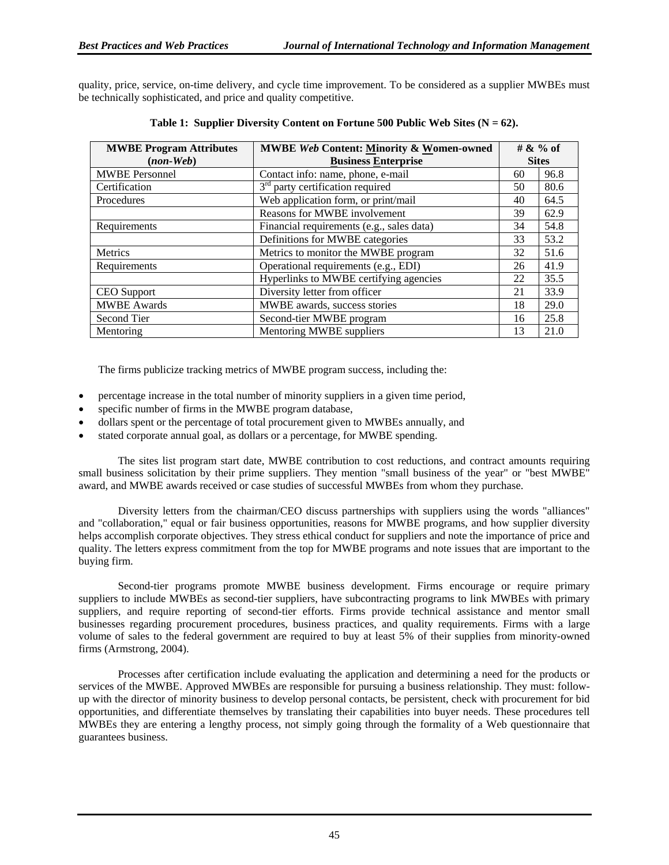quality, price, service, on-time delivery, and cycle time improvement. To be considered as a supplier MWBEs must be technically sophisticated, and price and quality competitive.

| <b>MWBE Program Attributes</b> | <b>MWBE Web Content: Minority &amp; Women-owned</b> | # $\&$ % of  |      |  |
|--------------------------------|-----------------------------------------------------|--------------|------|--|
| $(non-Web)$                    | <b>Business Enterprise</b>                          | <b>Sites</b> |      |  |
| <b>MWBE</b> Personnel          | Contact info: name, phone, e-mail                   | 60           | 96.8 |  |
| Certification                  | $3rd$ party certification required                  | 50           | 80.6 |  |
| Procedures                     | Web application form, or print/mail                 | 40           | 64.5 |  |
|                                | Reasons for MWBE involvement                        | 39           | 62.9 |  |
| Requirements                   | Financial requirements (e.g., sales data)           | 34           | 54.8 |  |
|                                | Definitions for MWBE categories                     | 33           | 53.2 |  |
| Metrics                        | Metrics to monitor the MWBE program                 | 32           | 51.6 |  |
| Requirements                   | Operational requirements (e.g., EDI)                | 26           | 41.9 |  |
|                                | Hyperlinks to MWBE certifying agencies              | 22           | 35.5 |  |
| <b>CEO</b> Support             | Diversity letter from officer                       | 21           | 33.9 |  |
| <b>MWBE</b> Awards             | MWBE awards, success stories                        | 18           | 29.0 |  |
| Second Tier                    | Second-tier MWBE program                            | 16           | 25.8 |  |
| Mentoring                      | Mentoring MWBE suppliers                            | 13           | 21.0 |  |

|  |  | Table 1: Supplier Diversity Content on Fortune 500 Public Web Sites ( $N = 62$ ). |  |  |  |  |
|--|--|-----------------------------------------------------------------------------------|--|--|--|--|
|  |  |                                                                                   |  |  |  |  |

The firms publicize tracking metrics of MWBE program success, including the:

- percentage increase in the total number of minority suppliers in a given time period,
- specific number of firms in the MWBE program database,
- dollars spent or the percentage of total procurement given to MWBEs annually, and
- stated corporate annual goal, as dollars or a percentage, for MWBE spending.

The sites list program start date, MWBE contribution to cost reductions, and contract amounts requiring small business solicitation by their prime suppliers. They mention "small business of the year" or "best MWBE" award, and MWBE awards received or case studies of successful MWBEs from whom they purchase.

Diversity letters from the chairman/CEO discuss partnerships with suppliers using the words "alliances" and "collaboration," equal or fair business opportunities, reasons for MWBE programs, and how supplier diversity helps accomplish corporate objectives. They stress ethical conduct for suppliers and note the importance of price and quality. The letters express commitment from the top for MWBE programs and note issues that are important to the buying firm.

Second-tier programs promote MWBE business development. Firms encourage or require primary suppliers to include MWBEs as second-tier suppliers, have subcontracting programs to link MWBEs with primary suppliers, and require reporting of second-tier efforts. Firms provide technical assistance and mentor small businesses regarding procurement procedures, business practices, and quality requirements. Firms with a large volume of sales to the federal government are required to buy at least 5% of their supplies from minority-owned firms (Armstrong, 2004).

Processes after certification include evaluating the application and determining a need for the products or services of the MWBE. Approved MWBEs are responsible for pursuing a business relationship. They must: followup with the director of minority business to develop personal contacts, be persistent, check with procurement for bid opportunities, and differentiate themselves by translating their capabilities into buyer needs. These procedures tell MWBEs they are entering a lengthy process, not simply going through the formality of a Web questionnaire that guarantees business.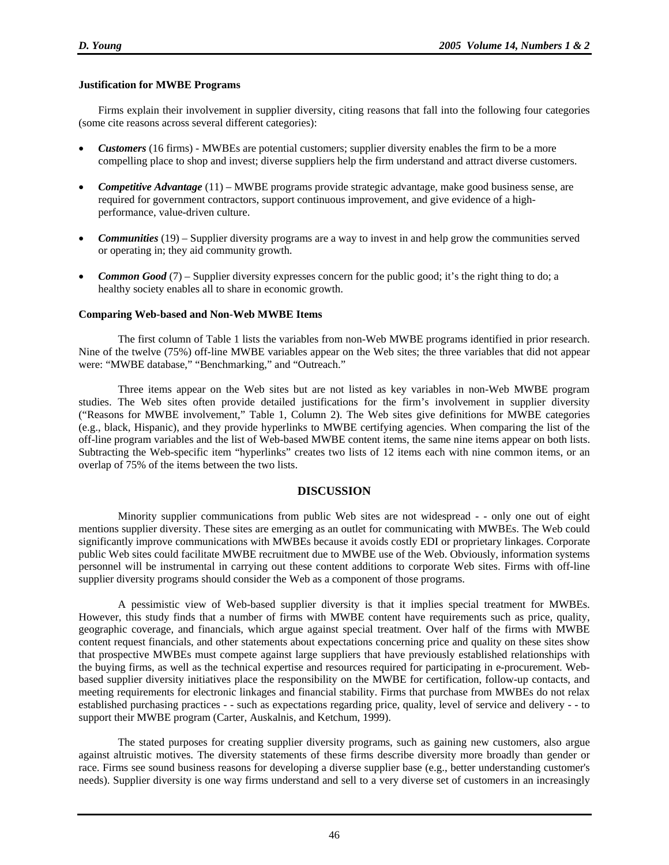#### **Justification for MWBE Programs**

Firms explain their involvement in supplier diversity, citing reasons that fall into the following four categories (some cite reasons across several different categories):

- **Customers** (16 firms) MWBEs are potential customers; supplier diversity enables the firm to be a more compelling place to shop and invest; diverse suppliers help the firm understand and attract diverse customers.
- *Competitive Advantage* (11) MWBE programs provide strategic advantage, make good business sense, are required for government contractors, support continuous improvement, and give evidence of a highperformance, value-driven culture.
- *Communities* (19) Supplier diversity programs are a way to invest in and help grow the communities served or operating in; they aid community growth.
- **Common Good** (7) Supplier diversity expresses concern for the public good; it's the right thing to do; a healthy society enables all to share in economic growth.

#### **Comparing Web-based and Non-Web MWBE Items**

The first column of Table 1 lists the variables from non-Web MWBE programs identified in prior research. Nine of the twelve (75%) off-line MWBE variables appear on the Web sites; the three variables that did not appear were: "MWBE database," "Benchmarking," and "Outreach."

Three items appear on the Web sites but are not listed as key variables in non-Web MWBE program studies. The Web sites often provide detailed justifications for the firm's involvement in supplier diversity ("Reasons for MWBE involvement," Table 1, Column 2). The Web sites give definitions for MWBE categories (e.g., black, Hispanic), and they provide hyperlinks to MWBE certifying agencies. When comparing the list of the off-line program variables and the list of Web-based MWBE content items, the same nine items appear on both lists. Subtracting the Web-specific item "hyperlinks" creates two lists of 12 items each with nine common items, or an overlap of 75% of the items between the two lists.

#### **DISCUSSION**

Minority supplier communications from public Web sites are not widespread - - only one out of eight mentions supplier diversity. These sites are emerging as an outlet for communicating with MWBEs. The Web could significantly improve communications with MWBEs because it avoids costly EDI or proprietary linkages. Corporate public Web sites could facilitate MWBE recruitment due to MWBE use of the Web. Obviously, information systems personnel will be instrumental in carrying out these content additions to corporate Web sites. Firms with off-line supplier diversity programs should consider the Web as a component of those programs.

 A pessimistic view of Web-based supplier diversity is that it implies special treatment for MWBEs. However, this study finds that a number of firms with MWBE content have requirements such as price, quality, geographic coverage, and financials, which argue against special treatment. Over half of the firms with MWBE content request financials, and other statements about expectations concerning price and quality on these sites show that prospective MWBEs must compete against large suppliers that have previously established relationships with the buying firms, as well as the technical expertise and resources required for participating in e-procurement. Webbased supplier diversity initiatives place the responsibility on the MWBE for certification, follow-up contacts, and meeting requirements for electronic linkages and financial stability. Firms that purchase from MWBEs do not relax established purchasing practices - - such as expectations regarding price, quality, level of service and delivery - - to support their MWBE program (Carter, Auskalnis, and Ketchum, 1999).

 The stated purposes for creating supplier diversity programs, such as gaining new customers, also argue against altruistic motives. The diversity statements of these firms describe diversity more broadly than gender or race. Firms see sound business reasons for developing a diverse supplier base (e.g., better understanding customer's needs). Supplier diversity is one way firms understand and sell to a very diverse set of customers in an increasingly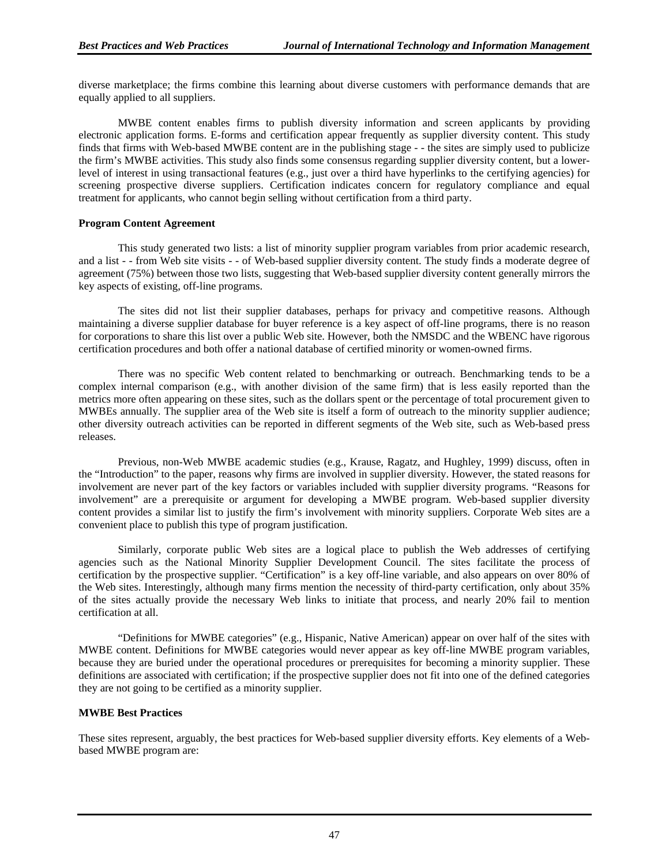diverse marketplace; the firms combine this learning about diverse customers with performance demands that are equally applied to all suppliers.

MWBE content enables firms to publish diversity information and screen applicants by providing electronic application forms. E-forms and certification appear frequently as supplier diversity content. This study finds that firms with Web-based MWBE content are in the publishing stage - - the sites are simply used to publicize the firm's MWBE activities. This study also finds some consensus regarding supplier diversity content, but a lowerlevel of interest in using transactional features (e.g., just over a third have hyperlinks to the certifying agencies) for screening prospective diverse suppliers. Certification indicates concern for regulatory compliance and equal treatment for applicants, who cannot begin selling without certification from a third party.

#### **Program Content Agreement**

This study generated two lists: a list of minority supplier program variables from prior academic research, and a list - - from Web site visits - - of Web-based supplier diversity content. The study finds a moderate degree of agreement (75%) between those two lists, suggesting that Web-based supplier diversity content generally mirrors the key aspects of existing, off-line programs.

The sites did not list their supplier databases, perhaps for privacy and competitive reasons. Although maintaining a diverse supplier database for buyer reference is a key aspect of off-line programs, there is no reason for corporations to share this list over a public Web site. However, both the NMSDC and the WBENC have rigorous certification procedures and both offer a national database of certified minority or women-owned firms.

There was no specific Web content related to benchmarking or outreach. Benchmarking tends to be a complex internal comparison (e.g., with another division of the same firm) that is less easily reported than the metrics more often appearing on these sites, such as the dollars spent or the percentage of total procurement given to MWBEs annually. The supplier area of the Web site is itself a form of outreach to the minority supplier audience; other diversity outreach activities can be reported in different segments of the Web site, such as Web-based press releases.

 Previous, non-Web MWBE academic studies (e.g., Krause, Ragatz, and Hughley, 1999) discuss, often in the "Introduction" to the paper, reasons why firms are involved in supplier diversity. However, the stated reasons for involvement are never part of the key factors or variables included with supplier diversity programs. "Reasons for involvement" are a prerequisite or argument for developing a MWBE program. Web-based supplier diversity content provides a similar list to justify the firm's involvement with minority suppliers. Corporate Web sites are a convenient place to publish this type of program justification.

 Similarly, corporate public Web sites are a logical place to publish the Web addresses of certifying agencies such as the National Minority Supplier Development Council. The sites facilitate the process of certification by the prospective supplier. "Certification" is a key off-line variable, and also appears on over 80% of the Web sites. Interestingly, although many firms mention the necessity of third-party certification, only about 35% of the sites actually provide the necessary Web links to initiate that process, and nearly 20% fail to mention certification at all.

 "Definitions for MWBE categories" (e.g., Hispanic, Native American) appear on over half of the sites with MWBE content. Definitions for MWBE categories would never appear as key off-line MWBE program variables, because they are buried under the operational procedures or prerequisites for becoming a minority supplier. These definitions are associated with certification; if the prospective supplier does not fit into one of the defined categories they are not going to be certified as a minority supplier.

#### **MWBE Best Practices**

These sites represent, arguably, the best practices for Web-based supplier diversity efforts. Key elements of a Webbased MWBE program are: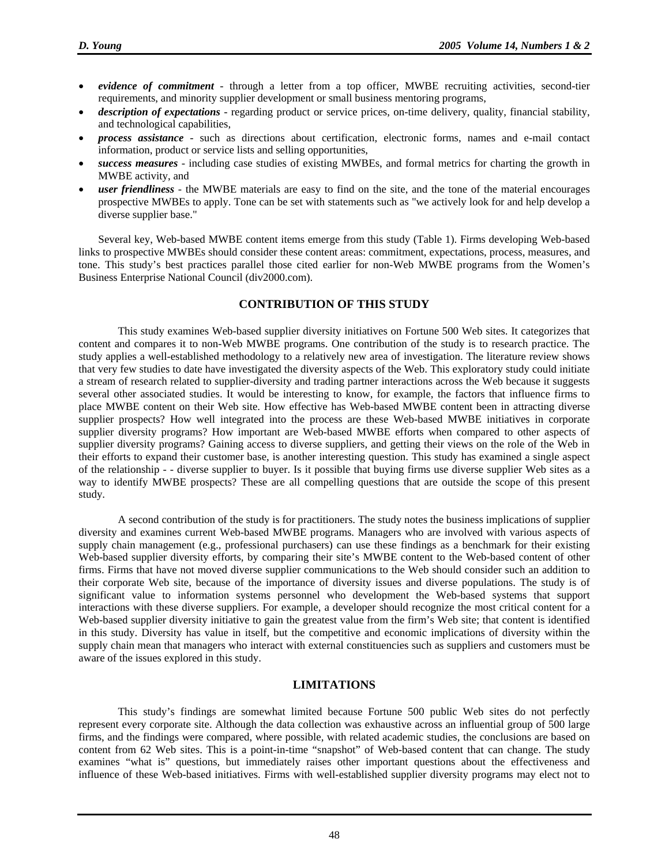- *evidence of commitment* through a letter from a top officer, MWBE recruiting activities, second-tier requirements, and minority supplier development or small business mentoring programs,
- *description of expectations* regarding product or service prices, on-time delivery, quality, financial stability, and technological capabilities,
- *process assistance* such as directions about certification, electronic forms, names and e-mail contact information, product or service lists and selling opportunities,
- *success measures* including case studies of existing MWBEs, and formal metrics for charting the growth in MWBE activity, and
- *user friendliness* the MWBE materials are easy to find on the site, and the tone of the material encourages prospective MWBEs to apply. Tone can be set with statements such as "we actively look for and help develop a diverse supplier base."

Several key, Web-based MWBE content items emerge from this study (Table 1). Firms developing Web-based links to prospective MWBEs should consider these content areas: commitment, expectations, process, measures, and tone. This study's best practices parallel those cited earlier for non-Web MWBE programs from the Women's Business Enterprise National Council (div2000.com).

## **CONTRIBUTION OF THIS STUDY**

This study examines Web-based supplier diversity initiatives on Fortune 500 Web sites. It categorizes that content and compares it to non-Web MWBE programs. One contribution of the study is to research practice. The study applies a well-established methodology to a relatively new area of investigation. The literature review shows that very few studies to date have investigated the diversity aspects of the Web. This exploratory study could initiate a stream of research related to supplier-diversity and trading partner interactions across the Web because it suggests several other associated studies. It would be interesting to know, for example, the factors that influence firms to place MWBE content on their Web site. How effective has Web-based MWBE content been in attracting diverse supplier prospects? How well integrated into the process are these Web-based MWBE initiatives in corporate supplier diversity programs? How important are Web-based MWBE efforts when compared to other aspects of supplier diversity programs? Gaining access to diverse suppliers, and getting their views on the role of the Web in their efforts to expand their customer base, is another interesting question. This study has examined a single aspect of the relationship - - diverse supplier to buyer. Is it possible that buying firms use diverse supplier Web sites as a way to identify MWBE prospects? These are all compelling questions that are outside the scope of this present study.

A second contribution of the study is for practitioners. The study notes the business implications of supplier diversity and examines current Web-based MWBE programs. Managers who are involved with various aspects of supply chain management (e.g., professional purchasers) can use these findings as a benchmark for their existing Web-based supplier diversity efforts, by comparing their site's MWBE content to the Web-based content of other firms. Firms that have not moved diverse supplier communications to the Web should consider such an addition to their corporate Web site, because of the importance of diversity issues and diverse populations. The study is of significant value to information systems personnel who development the Web-based systems that support interactions with these diverse suppliers. For example, a developer should recognize the most critical content for a Web-based supplier diversity initiative to gain the greatest value from the firm's Web site; that content is identified in this study. Diversity has value in itself, but the competitive and economic implications of diversity within the supply chain mean that managers who interact with external constituencies such as suppliers and customers must be aware of the issues explored in this study.

# **LIMITATIONS**

This study's findings are somewhat limited because Fortune 500 public Web sites do not perfectly represent every corporate site. Although the data collection was exhaustive across an influential group of 500 large firms, and the findings were compared, where possible, with related academic studies, the conclusions are based on content from 62 Web sites. This is a point-in-time "snapshot" of Web-based content that can change. The study examines "what is" questions, but immediately raises other important questions about the effectiveness and influence of these Web-based initiatives. Firms with well-established supplier diversity programs may elect not to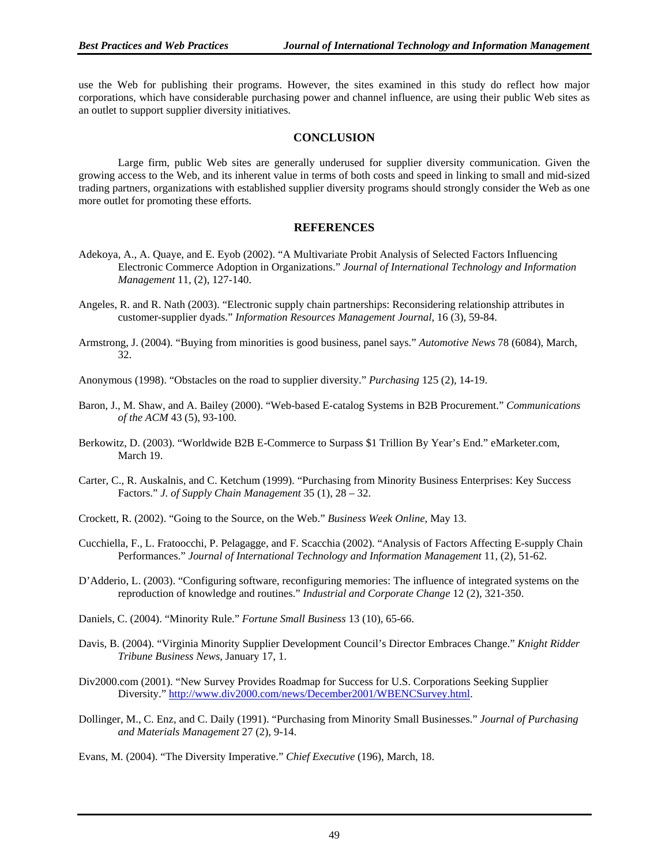use the Web for publishing their programs. However, the sites examined in this study do reflect how major corporations, which have considerable purchasing power and channel influence, are using their public Web sites as an outlet to support supplier diversity initiatives.

#### **CONCLUSION**

Large firm, public Web sites are generally underused for supplier diversity communication. Given the growing access to the Web, and its inherent value in terms of both costs and speed in linking to small and mid-sized trading partners, organizations with established supplier diversity programs should strongly consider the Web as one more outlet for promoting these efforts.

#### **REFERENCES**

- Adekoya, A., A. Quaye, and E. Eyob (2002). "A Multivariate Probit Analysis of Selected Factors Influencing Electronic Commerce Adoption in Organizations." *Journal of International Technology and Information Management* 11, (2), 127-140.
- Angeles, R. and R. Nath (2003). "Electronic supply chain partnerships: Reconsidering relationship attributes in customer-supplier dyads." *Information Resources Management Journal*, 16 (3), 59-84.
- Armstrong, J. (2004). "Buying from minorities is good business, panel says." *Automotive News* 78 (6084), March, 32.

Anonymous (1998). "Obstacles on the road to supplier diversity." *Purchasing* 125 (2), 14-19.

- Baron, J., M. Shaw, and A. Bailey (2000). "Web-based E-catalog Systems in B2B Procurement." *Communications of the ACM* 43 (5), 93-100.
- Berkowitz, D. (2003). "Worldwide B2B E-Commerce to Surpass \$1 Trillion By Year's End." eMarketer.com, March 19.
- Carter, C., R. Auskalnis, and C. Ketchum (1999). "Purchasing from Minority Business Enterprises: Key Success Factors." *J. of Supply Chain Management* 35 (1), 28 – 32.
- Crockett, R. (2002). "Going to the Source, on the Web." *Business Week Online*, May 13.
- Cucchiella, F., L. Fratoocchi, P. Pelagagge, and F. Scacchia (2002). "Analysis of Factors Affecting E-supply Chain Performances." *Journal of International Technology and Information Management* 11, (2), 51-62.
- D'Adderio, L. (2003). "Configuring software, reconfiguring memories: The influence of integrated systems on the reproduction of knowledge and routines." *Industrial and Corporate Change* 12 (2), 321-350.
- Daniels, C. (2004). "Minority Rule." *Fortune Small Business* 13 (10), 65-66.
- Davis, B. (2004). "Virginia Minority Supplier Development Council's Director Embraces Change." *Knight Ridder Tribune Business News*, January 17, 1.
- Div2000.com (2001). "New Survey Provides Roadmap for Success for U.S. Corporations Seeking Supplier Diversity." http://www.div2000.com/news/December2001/WBENCSurvey.html.
- Dollinger, M., C. Enz, and C. Daily (1991). "Purchasing from Minority Small Businesses." *Journal of Purchasing and Materials Management* 27 (2), 9-14.

Evans, M. (2004). "The Diversity Imperative." *Chief Executive* (196), March, 18.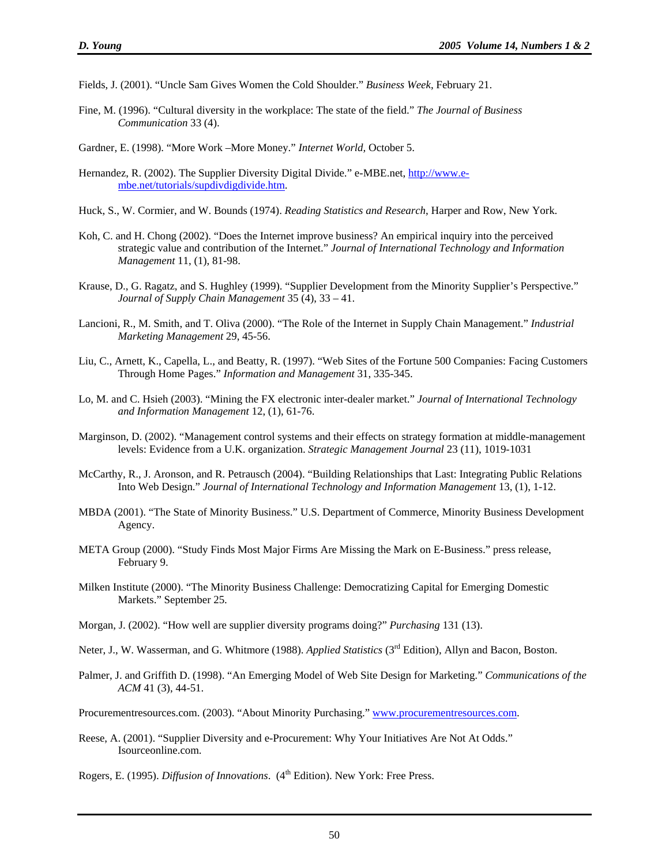- Fields, J. (2001). "Uncle Sam Gives Women the Cold Shoulder." *Business Week*, February 21.
- Fine, M. (1996). "Cultural diversity in the workplace: The state of the field." *The Journal of Business Communication* 33 (4).
- Gardner, E. (1998). "More Work –More Money." *Internet World,* October 5.
- Hernandez, R. (2002). The Supplier Diversity Digital Divide." e-MBE.net, http://www.embe.net/tutorials/supdivdigdivide.htm.
- Huck, S., W. Cormier, and W. Bounds (1974). *Reading Statistics and Research*, Harper and Row, New York.
- Koh, C. and H. Chong (2002). "Does the Internet improve business? An empirical inquiry into the perceived strategic value and contribution of the Internet." *Journal of International Technology and Information Management* 11, (1), 81-98.
- Krause, D., G. Ragatz, and S. Hughley (1999). "Supplier Development from the Minority Supplier's Perspective." *Journal of Supply Chain Management* 35 (4), 33 – 41.
- Lancioni, R., M. Smith, and T. Oliva (2000). "The Role of the Internet in Supply Chain Management." *Industrial Marketing Management* 29, 45-56.
- Liu, C., Arnett, K., Capella, L., and Beatty, R. (1997). "Web Sites of the Fortune 500 Companies: Facing Customers Through Home Pages." *Information and Management* 31, 335-345.
- Lo, M. and C. Hsieh (2003). "Mining the FX electronic inter-dealer market." *Journal of International Technology and Information Management* 12, (1), 61-76.
- Marginson, D. (2002). "Management control systems and their effects on strategy formation at middle-management levels: Evidence from a U.K. organization. *Strategic Management Journal* 23 (11), 1019-1031
- McCarthy, R., J. Aronson, and R. Petrausch (2004). "Building Relationships that Last: Integrating Public Relations Into Web Design." *Journal of International Technology and Information Management* 13, (1), 1-12.
- MBDA (2001). "The State of Minority Business." U.S. Department of Commerce, Minority Business Development Agency.
- META Group (2000). "Study Finds Most Major Firms Are Missing the Mark on E-Business." press release, February 9.
- Milken Institute (2000). "The Minority Business Challenge: Democratizing Capital for Emerging Domestic Markets." September 25.
- Morgan, J. (2002). "How well are supplier diversity programs doing?" *Purchasing* 131 (13).
- Neter, J., W. Wasserman, and G. Whitmore (1988). *Applied Statistics* (3<sup>rd</sup> Edition), Allyn and Bacon, Boston.
- Palmer, J. and Griffith D. (1998). "An Emerging Model of Web Site Design for Marketing." *Communications of the ACM* 41 (3), 44-51.
- Procurementresources.com. (2003). "About Minority Purchasing." www.procurementresources.com.
- Reese, A. (2001). "Supplier Diversity and e-Procurement: Why Your Initiatives Are Not At Odds." Isourceonline.com.

Rogers, E. (1995). *Diffusion of Innovations*. (4<sup>th</sup> Edition). New York: Free Press.